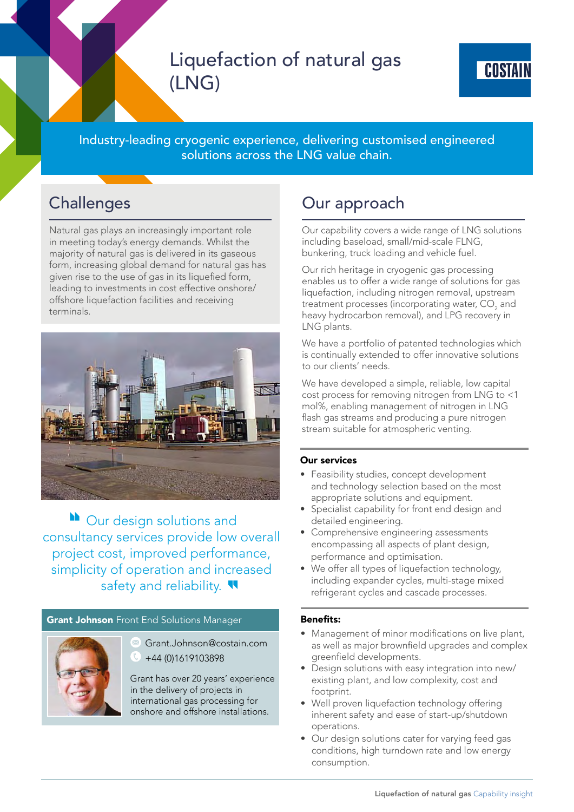# Liquefaction of natural gas (LNG)

Industry-leading cryogenic experience, delivering customised engineered solutions across the LNG value chain.

## **Challenges**

Natural gas plays an increasingly important role in meeting today's energy demands. Whilst the majority of natural gas is delivered in its gaseous form, increasing global demand for natural gas has given rise to the use of gas in its liquefied form, leading to investments in cost effective onshore/ offshore liquefaction facilities and receiving terminals.



**N** Our design solutions and consultancy services provide low overall project cost, improved performance, simplicity of operation and increased safety and reliability.

## **Grant Johnson** Front End Solutions Manager



Grant.Johnson@costain.com +44 (0)1619103898

Grant has over 20 years' experience in the delivery of projects in international gas processing for onshore and offshore installations.

## Our approach

Our capability covers a wide range of LNG solutions including baseload, small/mid-scale FLNG, bunkering, truck loading and vehicle fuel.

Our rich heritage in cryogenic gas processing enables us to offer a wide range of solutions for gas liquefaction, including nitrogen removal, upstream treatment processes (incorporating water,  $\mathrm{CO}_2^{}$  and heavy hydrocarbon removal), and LPG recovery in LNG plants.

We have a portfolio of patented technologies which is continually extended to offer innovative solutions to our clients' needs.

We have developed a simple, reliable, low capital cost process for removing nitrogen from LNG to <1 mol%, enabling management of nitrogen in LNG flash gas streams and producing a pure nitrogen stream suitable for atmospheric venting.

## Our services

- Feasibility studies, concept development and technology selection based on the most appropriate solutions and equipment.
- Specialist capability for front end design and detailed engineering.
- Comprehensive engineering assessments encompassing all aspects of plant design, performance and optimisation.
- We offer all types of liquefaction technology, including expander cycles, multi-stage mixed refrigerant cycles and cascade processes.

## Benefits:

- Management of minor modifications on live plant, as well as major brownfield upgrades and complex greenfield developments.
- Design solutions with easy integration into new/ existing plant, and low complexity, cost and footprint.
- Well proven liquefaction technology offering inherent safety and ease of start-up/shutdown operations.
- Our design solutions cater for varying feed gas conditions, high turndown rate and low energy consumption.